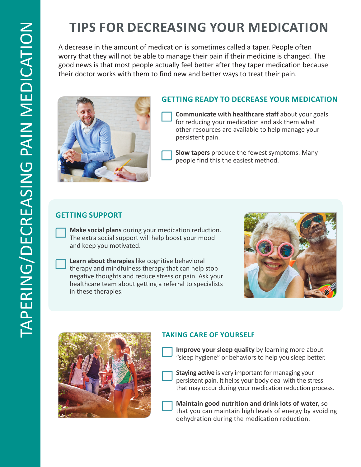# **TIPS FOR DECREASING YOUR MEDICATION**

A decrease in the amount of medication is sometimes called a taper. People often worry that they will not be able to manage their pain if their medicine is changed. The good news is that most people actually feel better after they taper medication because their doctor works with them to find new and better ways to treat their pain.



### **GETTING READY TO DECREASE YOUR MEDICATION**

**Communicate with healthcare staff about your goals** for reducing your medication and ask them what other resources are available to help manage your persistent pain.

**Slow tapers** produce the fewest symptoms. Many people find this the easiest method.

#### **GETTING SUPPORT**

**Make social plans** during your medication reduction. The extra social support will help boost your mood and keep you motivated.

**Learn about therapies** like cognitive behavioral therapy and mindfulness therapy that can help stop negative thoughts and reduce stress or pain. Ask your healthcare team about getting a referral to specialists in these therapies.





#### **TAKING CARE OF YOURSELF**

- **Improve your sleep quality** by learning more about "sleep hygiene" or behaviors to help you sleep better.
- **Staying active** is very important for managing your persistent pain. It helps your body deal with the stress that may occur during your medication reduction process.
- **Maintain good nutrition and drink lots of water,** so that you can maintain high levels of energy by avoiding dehydration during the medication reduction.